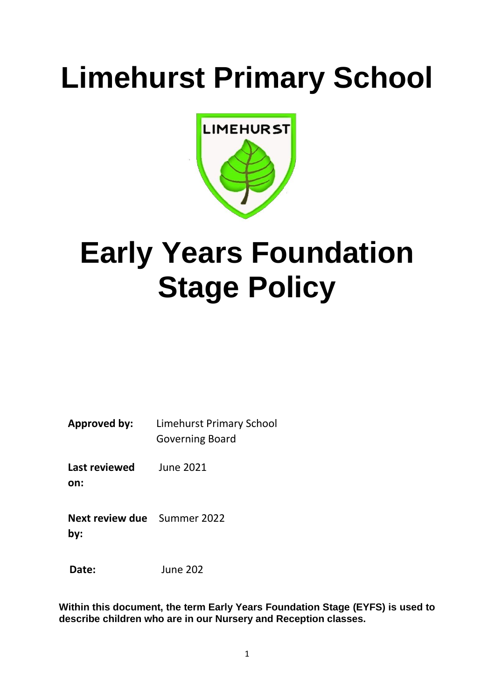# **Limehurst Primary School**



## **Early Years Foundation Stage Policy**

**Approved by:** Limehurst Primary School Governing Board

**Last reviewed on:** June 2021

**Next review due**  Summer 2022 **by:**

 **Date:** June 202

**Within this document, the term Early Years Foundation Stage (EYFS) is used to describe children who are in our Nursery and Reception classes.**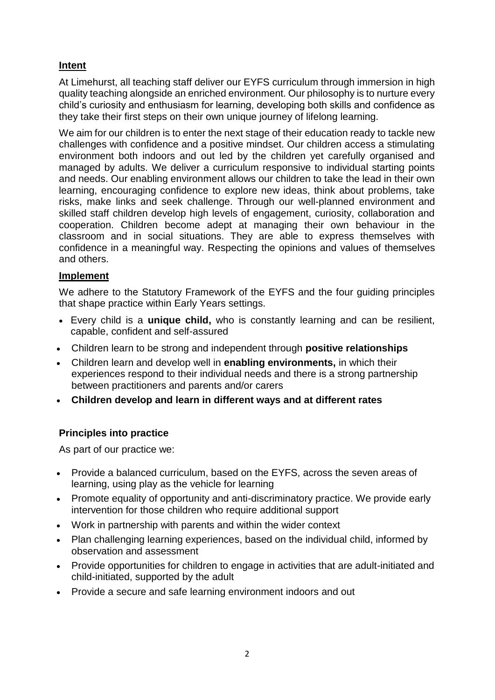## **Intent**

At Limehurst, all teaching staff deliver our EYFS curriculum through immersion in high quality teaching alongside an enriched environment. Our philosophy is to nurture every child's curiosity and enthusiasm for learning, developing both skills and confidence as they take their first steps on their own unique journey of lifelong learning.

We aim for our children is to enter the next stage of their education ready to tackle new challenges with confidence and a positive mindset. Our children access a stimulating environment both indoors and out led by the children yet carefully organised and managed by adults. We deliver a curriculum responsive to individual starting points and needs. Our enabling environment allows our children to take the lead in their own learning, encouraging confidence to explore new ideas, think about problems, take risks, make links and seek challenge. Through our well-planned environment and skilled staff children develop high levels of engagement, curiosity, collaboration and cooperation. Children become adept at managing their own behaviour in the classroom and in social situations. They are able to express themselves with confidence in a meaningful way. Respecting the opinions and values of themselves and others.

### **Implement**

We adhere to the Statutory Framework of the EYFS and the four guiding principles that shape practice within Early Years settings.

- Every child is a **unique child,** who is constantly learning and can be resilient, capable, confident and self-assured
- Children learn to be strong and independent through **positive relationships**
- Children learn and develop well in **enabling environments,** in which their experiences respond to their individual needs and there is a strong partnership between practitioners and parents and/or carers
- **Children develop and learn in different ways and at different rates**

## **Principles into practice**

As part of our practice we:

- Provide a balanced curriculum, based on the EYFS, across the seven areas of learning, using play as the vehicle for learning
- Promote equality of opportunity and anti-discriminatory practice. We provide early intervention for those children who require additional support
- Work in partnership with parents and within the wider context
- Plan challenging learning experiences, based on the individual child, informed by observation and assessment
- Provide opportunities for children to engage in activities that are adult-initiated and child-initiated, supported by the adult
- Provide a secure and safe learning environment indoors and out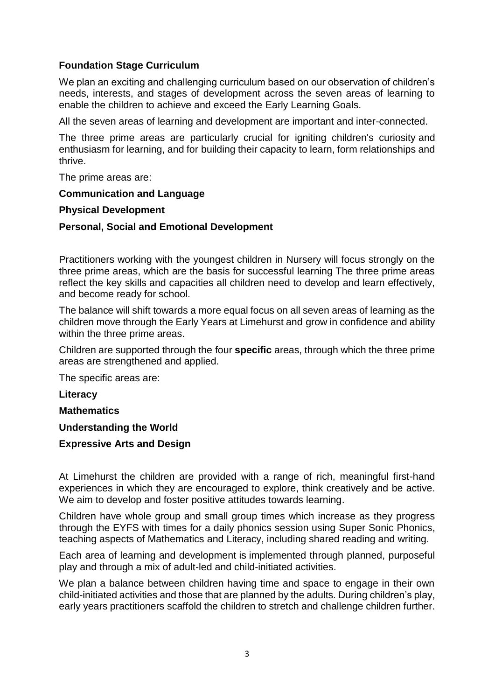## **Foundation Stage Curriculum**

We plan an exciting and challenging curriculum based on our observation of children's needs, interests, and stages of development across the seven areas of learning to enable the children to achieve and exceed the Early Learning Goals.

All the seven areas of learning and development are important and inter-connected.

The three prime areas are particularly crucial for igniting children's curiosity and enthusiasm for learning, and for building their capacity to learn, form relationships and thrive.

The prime areas are:

#### **Communication and Language**

#### **Physical Development**

#### **Personal, Social and Emotional Development**

Practitioners working with the youngest children in Nursery will focus strongly on the three prime areas, which are the basis for successful learning The three prime areas reflect the key skills and capacities all children need to develop and learn effectively, and become ready for school.

The balance will shift towards a more equal focus on all seven areas of learning as the children move through the Early Years at Limehurst and grow in confidence and ability within the three prime areas.

Children are supported through the four **specific** areas, through which the three prime areas are strengthened and applied.

The specific areas are:

**Literacy**

**Mathematics**

#### **Understanding the World**

#### **Expressive Arts and Design**

At Limehurst the children are provided with a range of rich, meaningful first-hand experiences in which they are encouraged to explore, think creatively and be active. We aim to develop and foster positive attitudes towards learning.

Children have whole group and small group times which increase as they progress through the EYFS with times for a daily phonics session using Super Sonic Phonics, teaching aspects of Mathematics and Literacy, including shared reading and writing.

Each area of learning and development is implemented through planned, purposeful play and through a mix of adult-led and child-initiated activities.

We plan a balance between children having time and space to engage in their own child-initiated activities and those that are planned by the adults. During children's play, early years practitioners scaffold the children to stretch and challenge children further.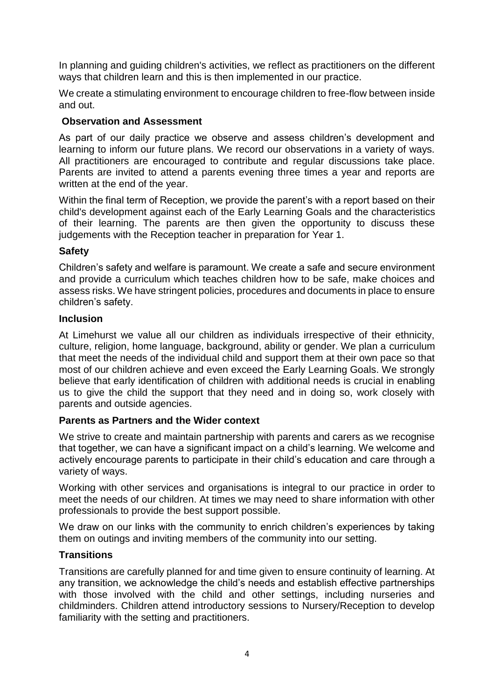In planning and guiding children's activities, we reflect as practitioners on the different ways that children learn and this is then implemented in our practice.

We create a stimulating environment to encourage children to free-flow between inside and out.

## **Observation and Assessment**

As part of our daily practice we observe and assess children's development and learning to inform our future plans. We record our observations in a variety of ways. All practitioners are encouraged to contribute and regular discussions take place. Parents are invited to attend a parents evening three times a year and reports are written at the end of the year.

Within the final term of Reception, we provide the parent's with a report based on their child's development against each of the Early Learning Goals and the characteristics of their learning. The parents are then given the opportunity to discuss these judgements with the Reception teacher in preparation for Year 1.

## **Safety**

Children's safety and welfare is paramount. We create a safe and secure environment and provide a curriculum which teaches children how to be safe, make choices and assess risks. We have stringent policies, procedures and documents in place to ensure children's safety.

## **Inclusion**

At Limehurst we value all our children as individuals irrespective of their ethnicity, culture, religion, home language, background, ability or gender. We plan a curriculum that meet the needs of the individual child and support them at their own pace so that most of our children achieve and even exceed the Early Learning Goals. We strongly believe that early identification of children with additional needs is crucial in enabling us to give the child the support that they need and in doing so, work closely with parents and outside agencies.

## **Parents as Partners and the Wider context**

We strive to create and maintain partnership with parents and carers as we recognise that together, we can have a significant impact on a child's learning. We welcome and actively encourage parents to participate in their child's education and care through a variety of ways.

Working with other services and organisations is integral to our practice in order to meet the needs of our children. At times we may need to share information with other professionals to provide the best support possible.

We draw on our links with the community to enrich children's experiences by taking them on outings and inviting members of the community into our setting.

## **Transitions**

Transitions are carefully planned for and time given to ensure continuity of learning. At any transition, we acknowledge the child's needs and establish effective partnerships with those involved with the child and other settings, including nurseries and childminders. Children attend introductory sessions to Nursery/Reception to develop familiarity with the setting and practitioners.